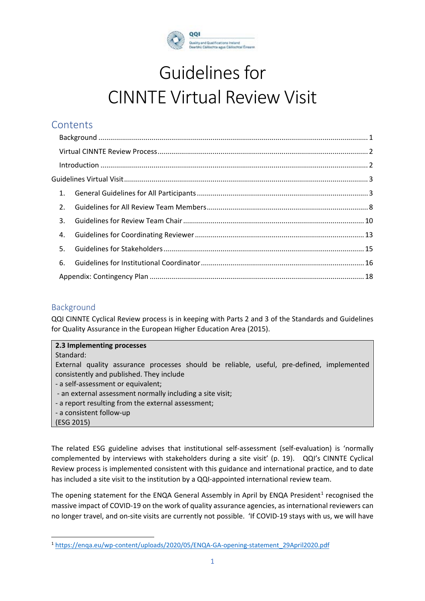

# Guidelines for CINNTE Virtual Review Visit

# **Contents**

| 1. |  |  |  |
|----|--|--|--|
| 2. |  |  |  |
| 3. |  |  |  |
| 4. |  |  |  |
| 5. |  |  |  |
| 6. |  |  |  |
|    |  |  |  |

## <span id="page-0-0"></span>Background

QQI CINNTE Cyclical Review process is in keeping with Parts 2 and 3 of the Standards and Guidelines for Quality Assurance in the European Higher Education Area (2015).

## **2.3 Implementing processes**  Standard: External quality assurance processes should be reliable, useful, pre-defined, implemented consistently and published. They include - a self-assessment or equivalent; - an external assessment normally including a site visit;

- a report resulting from the external assessment;
- a consistent follow-up
- (ESG 2015)

The related ESG guideline advises that institutional self-assessment (self-evaluation) is 'normally complemented by interviews with stakeholders during a site visit' (p. 19). QQI's CINNTE Cyclical Review process is implemented consistent with this guidance and international practice, and to date has included a site visit to the institution by a QQI-appointed international review team.

The opening statement for the ENQA General Assembly in April by ENQA President<sup>[1](#page-0-1)</sup> recognised the massive impact of COVID-19 on the work of quality assurance agencies, as international reviewers can no longer travel, and on-site visits are currently not possible. 'If COVID-19 stays with us, we will have

<span id="page-0-1"></span><sup>1</sup> [https://enqa.eu/wp-content/uploads/2020/05/ENQA-GA-opening-statement\\_29April2020.pdf](https://enqa.eu/wp-content/uploads/2020/05/ENQA-GA-opening-statement_29April2020.pdf)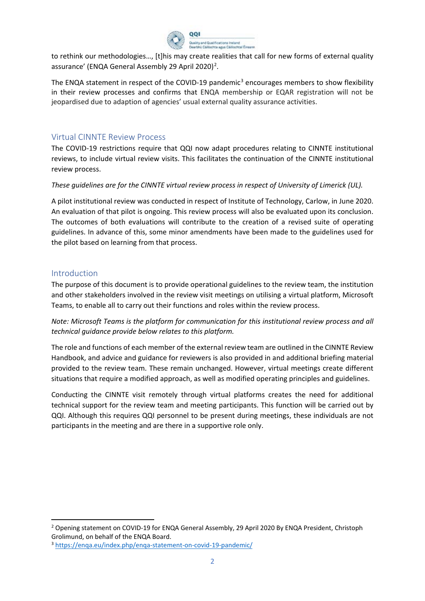

to rethink our methodologies…, [t]his may create realities that call for new forms of external quality assurance' (ENQA General Assembly [2](#page-1-2)9 April 2020)<sup>2</sup>.

The ENQA statement in respect of the COVID-19 pandemic<sup>[3](#page-1-3)</sup> encourages members to show flexibility in their review processes and confirms that ENQA membership or EQAR registration will not be jeopardised due to adaption of agencies' usual external quality assurance activities.

## <span id="page-1-0"></span>Virtual CINNTE Review Process

The COVID-19 restrictions require that QQI now adapt procedures relating to CINNTE institutional reviews, to include virtual review visits. This facilitates the continuation of the CINNTE institutional review process.

#### *These guidelines are for the CINNTE virtual review process in respect of University of Limerick (UL).*

A pilot institutional review was conducted in respect of Institute of Technology, Carlow, in June 2020. An evaluation of that pilot is ongoing. This review process will also be evaluated upon its conclusion. The outcomes of both evaluations will contribute to the creation of a revised suite of operating guidelines. In advance of this, some minor amendments have been made to the guidelines used for the pilot based on learning from that process.

#### <span id="page-1-1"></span>Introduction

The purpose of this document is to provide operational guidelines to the review team, the institution and other stakeholders involved in the review visit meetings on utilising a virtual platform, Microsoft Teams, to enable all to carry out their functions and roles within the review process.

*Note: Microsoft Teams is the platform for communication for this institutional review process and all technical guidance provide below relates to this platform.*

The role and functions of each member of the external review team are outlined in the CINNTE Review Handbook, and advice and guidance for reviewers is also provided in and additional briefing material provided to the review team. These remain unchanged. However, virtual meetings create different situations that require a modified approach, as well as modified operating principles and guidelines.

Conducting the CINNTE visit remotely through virtual platforms creates the need for additional technical support for the review team and meeting participants. This function will be carried out by QQI. Although this requires QQI personnel to be present during meetings, these individuals are not participants in the meeting and are there in a supportive role only.

<span id="page-1-2"></span><sup>2</sup> Opening statement on COVID-19 for ENQA General Assembly, 29 April 2020 By ENQA President, Christoph Grolimund, on behalf of the ENQA Board.

<span id="page-1-3"></span><sup>3</sup> <https://enqa.eu/index.php/enqa-statement-on-covid-19-pandemic/>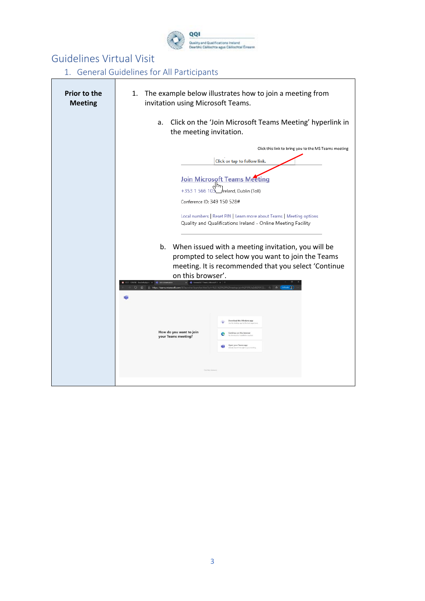

# <span id="page-2-0"></span>Guidelines Virtual Visit

<span id="page-2-1"></span>1. General Guidelines for All Participants

| <b>Prior to the</b><br><b>Meeting</b> | The example below illustrates how to join a meeting from<br>1.<br>invitation using Microsoft Teams.                                                                                     |
|---------------------------------------|-----------------------------------------------------------------------------------------------------------------------------------------------------------------------------------------|
|                                       | Click on the 'Join Microsoft Teams Meeting' hyperlink in<br>a.<br>the meeting invitation.                                                                                               |
|                                       | Click this link to bring you to the MS Teams meeting<br>Click or tap to follow link.                                                                                                    |
|                                       | <b>Join Microsoft Teams Meeting</b><br>+353 1 566 103<br>Ireland, Dublin (Toll)<br>Conference ID: 349 150 528#                                                                          |
|                                       | Local numbers   Reset PIN   Learn more about Teams   Meeting options<br>Quality and Qualifications Ireland - Online Meeting Facility                                                    |
|                                       | b. When issued with a meeting invitation, you will be<br>prompted to select how you want to join the Teams<br>meeting. It is recommended that you select 'Continue<br>on this browser'. |
|                                       | 23%2fl%2fmeetup-join%2f19%3a2d8210122 ☆ \$<br>A https://teams.microsoft.com                                                                                                             |
|                                       | Download the Windows app<br>top app for the b<br>How do you want to join<br>Continue on this browser<br>your Teams meeting?<br>Open your Teams app                                      |
|                                       |                                                                                                                                                                                         |
|                                       |                                                                                                                                                                                         |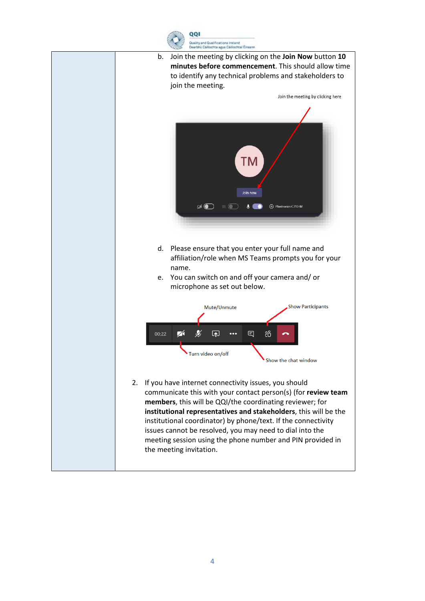

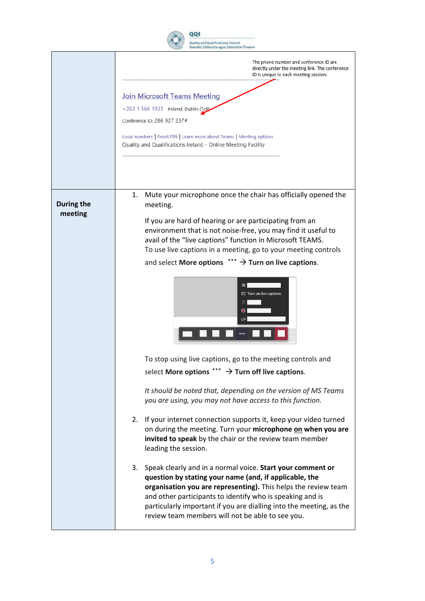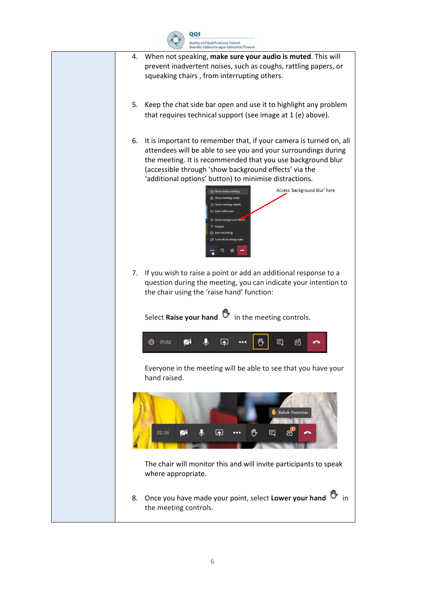

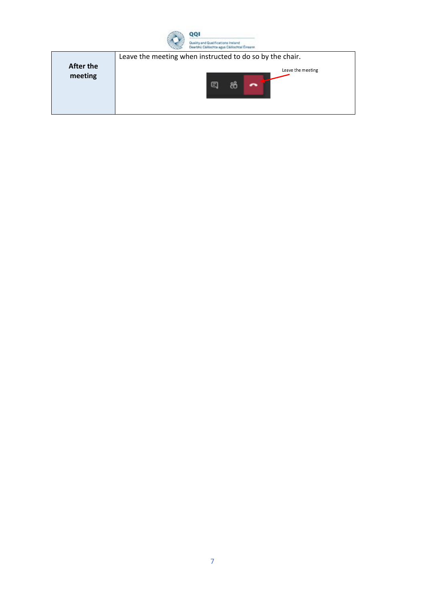

|           | Leave the meeting when instructed to do so by the chair. |
|-----------|----------------------------------------------------------|
| After the | Leave the meeting                                        |
| meeting   |                                                          |
|           |                                                          |
|           | ы                                                        |
|           |                                                          |
|           |                                                          |
|           |                                                          |
|           |                                                          |
|           |                                                          |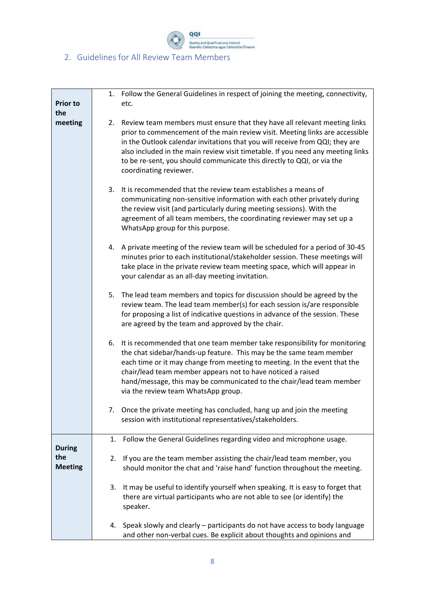

<span id="page-7-0"></span>

| <b>Prior to</b><br>the | Follow the General Guidelines in respect of joining the meeting, connectivity,<br>1.<br>etc.                                                                                                                                                                                                                                                                                                                                           |
|------------------------|----------------------------------------------------------------------------------------------------------------------------------------------------------------------------------------------------------------------------------------------------------------------------------------------------------------------------------------------------------------------------------------------------------------------------------------|
| meeting                | Review team members must ensure that they have all relevant meeting links<br>2.<br>prior to commencement of the main review visit. Meeting links are accessible<br>in the Outlook calendar invitations that you will receive from QQI; they are<br>also included in the main review visit timetable. If you need any meeting links<br>to be re-sent, you should communicate this directly to QQI, or via the<br>coordinating reviewer. |
|                        | It is recommended that the review team establishes a means of<br>3.<br>communicating non-sensitive information with each other privately during<br>the review visit (and particularly during meeting sessions). With the<br>agreement of all team members, the coordinating reviewer may set up a<br>WhatsApp group for this purpose.                                                                                                  |
|                        | A private meeting of the review team will be scheduled for a period of 30-45<br>4.<br>minutes prior to each institutional/stakeholder session. These meetings will<br>take place in the private review team meeting space, which will appear in<br>your calendar as an all-day meeting invitation.                                                                                                                                     |
|                        | 5.<br>The lead team members and topics for discussion should be agreed by the<br>review team. The lead team member(s) for each session is/are responsible<br>for proposing a list of indicative questions in advance of the session. These<br>are agreed by the team and approved by the chair.                                                                                                                                        |
|                        | It is recommended that one team member take responsibility for monitoring<br>6.<br>the chat sidebar/hands-up feature. This may be the same team member<br>each time or it may change from meeting to meeting. In the event that the<br>chair/lead team member appears not to have noticed a raised<br>hand/message, this may be communicated to the chair/lead team member<br>via the review team WhatsApp group.                      |
|                        | 7. Once the private meeting has concluded, hang up and join the meeting<br>session with institutional representatives/stakeholders.                                                                                                                                                                                                                                                                                                    |
| <b>During</b>          | Follow the General Guidelines regarding video and microphone usage.<br>1.                                                                                                                                                                                                                                                                                                                                                              |
| the<br><b>Meeting</b>  | If you are the team member assisting the chair/lead team member, you<br>2.<br>should monitor the chat and 'raise hand' function throughout the meeting.                                                                                                                                                                                                                                                                                |
|                        | It may be useful to identify yourself when speaking. It is easy to forget that<br>3.<br>there are virtual participants who are not able to see (or identify) the<br>speaker.                                                                                                                                                                                                                                                           |
|                        | Speak slowly and clearly - participants do not have access to body language<br>4.<br>and other non-verbal cues. Be explicit about thoughts and opinions and                                                                                                                                                                                                                                                                            |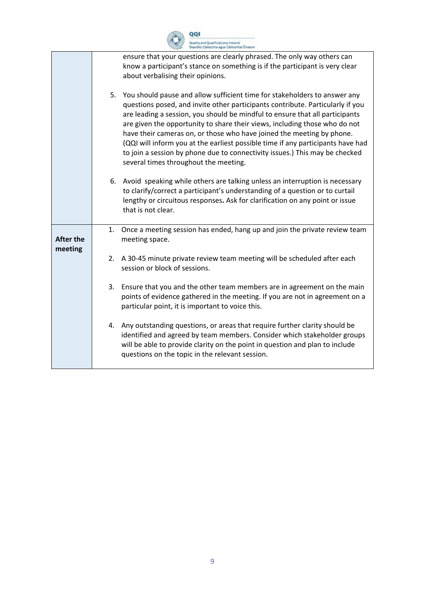|                  |    | ality and Qualifications Ireland<br>arbhú Cáilíochta agus Cáilíochtaí Éireann                                                                                                                                                                                                                                                                                                                                                                                                                                                                                                                                 |
|------------------|----|---------------------------------------------------------------------------------------------------------------------------------------------------------------------------------------------------------------------------------------------------------------------------------------------------------------------------------------------------------------------------------------------------------------------------------------------------------------------------------------------------------------------------------------------------------------------------------------------------------------|
|                  |    | ensure that your questions are clearly phrased. The only way others can<br>know a participant's stance on something is if the participant is very clear<br>about verbalising their opinions.                                                                                                                                                                                                                                                                                                                                                                                                                  |
|                  | 5. | You should pause and allow sufficient time for stakeholders to answer any<br>questions posed, and invite other participants contribute. Particularly if you<br>are leading a session, you should be mindful to ensure that all participants<br>are given the opportunity to share their views, including those who do not<br>have their cameras on, or those who have joined the meeting by phone.<br>(QQI will inform you at the earliest possible time if any participants have had<br>to join a session by phone due to connectivity issues.) This may be checked<br>several times throughout the meeting. |
|                  | 6. | Avoid speaking while others are talking unless an interruption is necessary<br>to clarify/correct a participant's understanding of a question or to curtail<br>lengthy or circuitous responses. Ask for clarification on any point or issue<br>that is not clear.                                                                                                                                                                                                                                                                                                                                             |
| <b>After the</b> | 1. | Once a meeting session has ended, hang up and join the private review team<br>meeting space.                                                                                                                                                                                                                                                                                                                                                                                                                                                                                                                  |
| meeting          | 2. | A 30-45 minute private review team meeting will be scheduled after each<br>session or block of sessions.                                                                                                                                                                                                                                                                                                                                                                                                                                                                                                      |
|                  | 3. | Ensure that you and the other team members are in agreement on the main<br>points of evidence gathered in the meeting. If you are not in agreement on a<br>particular point, it is important to voice this.                                                                                                                                                                                                                                                                                                                                                                                                   |
|                  | 4. | Any outstanding questions, or areas that require further clarity should be<br>identified and agreed by team members. Consider which stakeholder groups<br>will be able to provide clarity on the point in question and plan to include<br>questions on the topic in the relevant session.                                                                                                                                                                                                                                                                                                                     |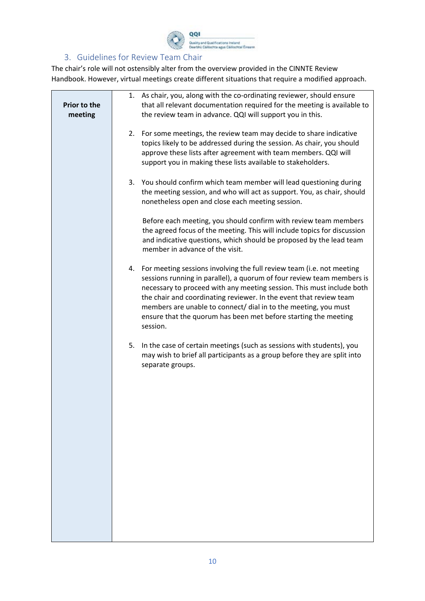

## 3. Guidelines for Review Team Chair

<span id="page-9-0"></span>The chair's role will not ostensibly alter from the overview provided in the CINNTE Review Handbook. However, virtual meetings create different situations that require a modified approach.

| Prior to the | As chair, you, along with the co-ordinating reviewer, should ensure<br>1.<br>that all relevant documentation required for the meeting is available to                                                                                                                                                                                                                                                                                               |
|--------------|-----------------------------------------------------------------------------------------------------------------------------------------------------------------------------------------------------------------------------------------------------------------------------------------------------------------------------------------------------------------------------------------------------------------------------------------------------|
| meeting      | the review team in advance. QQI will support you in this.                                                                                                                                                                                                                                                                                                                                                                                           |
|              | 2. For some meetings, the review team may decide to share indicative<br>topics likely to be addressed during the session. As chair, you should<br>approve these lists after agreement with team members. QQI will<br>support you in making these lists available to stakeholders.                                                                                                                                                                   |
|              | 3.<br>You should confirm which team member will lead questioning during<br>the meeting session, and who will act as support. You, as chair, should<br>nonetheless open and close each meeting session.                                                                                                                                                                                                                                              |
|              | Before each meeting, you should confirm with review team members<br>the agreed focus of the meeting. This will include topics for discussion<br>and indicative questions, which should be proposed by the lead team<br>member in advance of the visit.                                                                                                                                                                                              |
|              | 4. For meeting sessions involving the full review team (i.e. not meeting<br>sessions running in parallel), a quorum of four review team members is<br>necessary to proceed with any meeting session. This must include both<br>the chair and coordinating reviewer. In the event that review team<br>members are unable to connect/ dial in to the meeting, you must<br>ensure that the quorum has been met before starting the meeting<br>session. |
|              | In the case of certain meetings (such as sessions with students), you<br>5.<br>may wish to brief all participants as a group before they are split into<br>separate groups.                                                                                                                                                                                                                                                                         |
|              |                                                                                                                                                                                                                                                                                                                                                                                                                                                     |
|              |                                                                                                                                                                                                                                                                                                                                                                                                                                                     |
|              |                                                                                                                                                                                                                                                                                                                                                                                                                                                     |
|              |                                                                                                                                                                                                                                                                                                                                                                                                                                                     |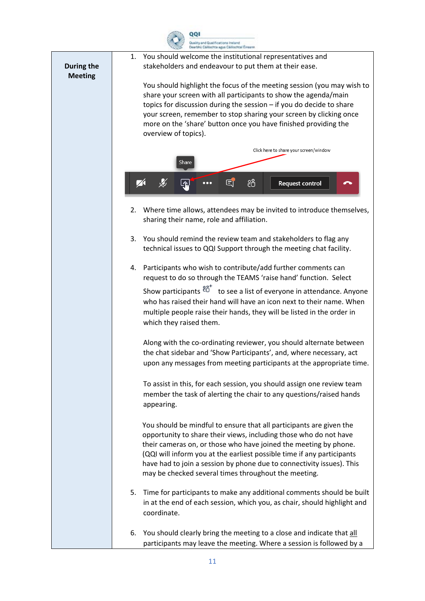

| During the<br><b>Meeting</b> | You should welcome the institutional representatives and<br>1.<br>stakeholders and endeavour to put them at their ease.                                                                                                                                                                                                                                                                                                 |
|------------------------------|-------------------------------------------------------------------------------------------------------------------------------------------------------------------------------------------------------------------------------------------------------------------------------------------------------------------------------------------------------------------------------------------------------------------------|
|                              | You should highlight the focus of the meeting session (you may wish to<br>share your screen with all participants to show the agenda/main<br>topics for discussion during the session $-$ if you do decide to share<br>your screen, remember to stop sharing your screen by clicking once<br>more on the 'share' button once you have finished providing the<br>overview of topics).                                    |
|                              | Click here to share your screen/window                                                                                                                                                                                                                                                                                                                                                                                  |
|                              | Share                                                                                                                                                                                                                                                                                                                                                                                                                   |
|                              | දීරි<br>EI<br><b>Request control</b><br>∆1<br>$\bullet\bullet\bullet$                                                                                                                                                                                                                                                                                                                                                   |
|                              | Where time allows, attendees may be invited to introduce themselves,<br>2.<br>sharing their name, role and affiliation.                                                                                                                                                                                                                                                                                                 |
|                              | 3. You should remind the review team and stakeholders to flag any<br>technical issues to QQI Support through the meeting chat facility.                                                                                                                                                                                                                                                                                 |
|                              | Participants who wish to contribute/add further comments can<br>4.<br>request to do so through the TEAMS 'raise hand' function. Select                                                                                                                                                                                                                                                                                  |
|                              | Show participants $8^{\circ}$ to see a list of everyone in attendance. Anyone<br>who has raised their hand will have an icon next to their name. When<br>multiple people raise their hands, they will be listed in the order in<br>which they raised them.                                                                                                                                                              |
|                              | Along with the co-ordinating reviewer, you should alternate between<br>the chat sidebar and 'Show Participants', and, where necessary, act<br>upon any messages from meeting participants at the appropriate time.                                                                                                                                                                                                      |
|                              | To assist in this, for each session, you should assign one review team<br>member the task of alerting the chair to any questions/raised hands<br>appearing.                                                                                                                                                                                                                                                             |
|                              | You should be mindful to ensure that all participants are given the<br>opportunity to share their views, including those who do not have<br>their cameras on, or those who have joined the meeting by phone.<br>(QQI will inform you at the earliest possible time if any participants<br>have had to join a session by phone due to connectivity issues). This<br>may be checked several times throughout the meeting. |
|                              | 5. Time for participants to make any additional comments should be built<br>in at the end of each session, which you, as chair, should highlight and<br>coordinate.                                                                                                                                                                                                                                                     |
|                              | 6. You should clearly bring the meeting to a close and indicate that all<br>participants may leave the meeting. Where a session is followed by a                                                                                                                                                                                                                                                                        |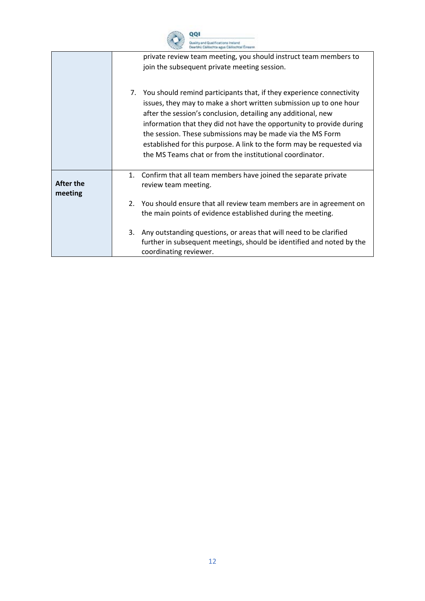|    | וסס                                                                                |
|----|------------------------------------------------------------------------------------|
|    | uality and Qualifications Instand<br>Dearbhú Cáilliochta agus Cáilliochtaí Éireann |
|    | private review team meeting, you should instruct team members to                   |
|    | join the subsequent private meeting session.                                       |
|    |                                                                                    |
| 7. | You should remind participants that, if they experience connectivity               |
|    | issues, they may to make a short written submission up to one hour                 |
|    | after the session's conclusion, detailing any additional, new                      |
|    | information that they did not have the opportunity to provide during               |

|                      | the session. These submissions may be made via the MS Form<br>established for this purpose. A link to the form may be requested via<br>the MS Teams chat or from the institutional coordinator. |
|----------------------|-------------------------------------------------------------------------------------------------------------------------------------------------------------------------------------------------|
| After the<br>meeting | 1. Confirm that all team members have joined the separate private<br>review team meeting.                                                                                                       |
|                      | 2. You should ensure that all review team members are in agreement on<br>the main points of evidence established during the meeting.                                                            |
|                      | Any outstanding questions, or areas that will need to be clarified<br>3.<br>further in subsequent meetings, should be identified and noted by the<br>coordinating reviewer.                     |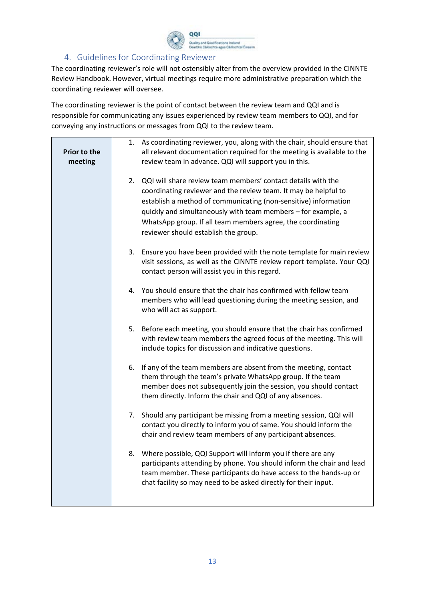

## 4. Guidelines for Coordinating Reviewer

<span id="page-12-0"></span>The coordinating reviewer's role will not ostensibly alter from the overview provided in the CINNTE Review Handbook. However, virtual meetings require more administrative preparation which the coordinating reviewer will oversee.

The coordinating reviewer is the point of contact between the review team and QQI and is responsible for communicating any issues experienced by review team members to QQI, and for conveying any instructions or messages from QQI to the review team.

| Prior to the<br>meeting |    | 1. As coordinating reviewer, you, along with the chair, should ensure that<br>all relevant documentation required for the meeting is available to the<br>review team in advance. QQI will support you in this.                                                                                                                                                                |
|-------------------------|----|-------------------------------------------------------------------------------------------------------------------------------------------------------------------------------------------------------------------------------------------------------------------------------------------------------------------------------------------------------------------------------|
|                         |    | 2. QQI will share review team members' contact details with the<br>coordinating reviewer and the review team. It may be helpful to<br>establish a method of communicating (non-sensitive) information<br>quickly and simultaneously with team members - for example, a<br>WhatsApp group. If all team members agree, the coordinating<br>reviewer should establish the group. |
|                         |    | 3. Ensure you have been provided with the note template for main review<br>visit sessions, as well as the CINNTE review report template. Your QQI<br>contact person will assist you in this regard.                                                                                                                                                                           |
|                         |    | 4. You should ensure that the chair has confirmed with fellow team<br>members who will lead questioning during the meeting session, and<br>who will act as support.                                                                                                                                                                                                           |
|                         |    | 5. Before each meeting, you should ensure that the chair has confirmed<br>with review team members the agreed focus of the meeting. This will<br>include topics for discussion and indicative questions.                                                                                                                                                                      |
|                         | 6. | If any of the team members are absent from the meeting, contact<br>them through the team's private WhatsApp group. If the team<br>member does not subsequently join the session, you should contact<br>them directly. Inform the chair and QQI of any absences.                                                                                                               |
|                         | 7. | Should any participant be missing from a meeting session, QQI will<br>contact you directly to inform you of same. You should inform the<br>chair and review team members of any participant absences.                                                                                                                                                                         |
|                         | 8. | Where possible, QQI Support will inform you if there are any<br>participants attending by phone. You should inform the chair and lead<br>team member. These participants do have access to the hands-up or<br>chat facility so may need to be asked directly for their input.                                                                                                 |
|                         |    |                                                                                                                                                                                                                                                                                                                                                                               |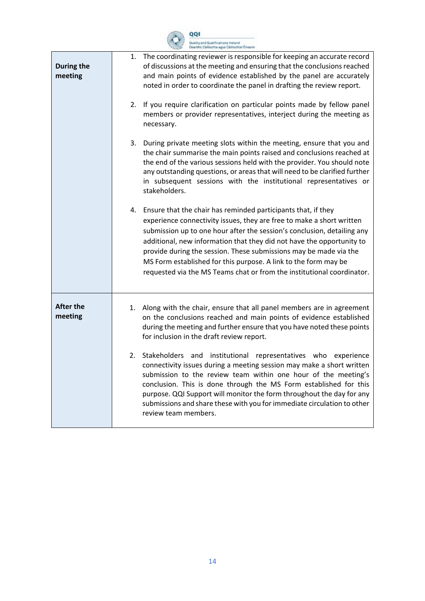

| During the<br>meeting       | 1. The coordinating reviewer is responsible for keeping an accurate record<br>of discussions at the meeting and ensuring that the conclusions reached<br>and main points of evidence established by the panel are accurately<br>noted in order to coordinate the panel in drafting the review report.<br>2. If you require clarification on particular points made by fellow panel<br>members or provider representatives, interject during the meeting as<br>necessary.                                        |
|-----------------------------|-----------------------------------------------------------------------------------------------------------------------------------------------------------------------------------------------------------------------------------------------------------------------------------------------------------------------------------------------------------------------------------------------------------------------------------------------------------------------------------------------------------------|
|                             | 3. During private meeting slots within the meeting, ensure that you and<br>the chair summarise the main points raised and conclusions reached at<br>the end of the various sessions held with the provider. You should note<br>any outstanding questions, or areas that will need to be clarified further<br>in subsequent sessions with the institutional representatives or<br>stakeholders.                                                                                                                  |
|                             | 4. Ensure that the chair has reminded participants that, if they<br>experience connectivity issues, they are free to make a short written<br>submission up to one hour after the session's conclusion, detailing any<br>additional, new information that they did not have the opportunity to<br>provide during the session. These submissions may be made via the<br>MS Form established for this purpose. A link to the form may be<br>requested via the MS Teams chat or from the institutional coordinator. |
| <b>After the</b><br>meeting | Along with the chair, ensure that all panel members are in agreement<br>1.<br>on the conclusions reached and main points of evidence established<br>during the meeting and further ensure that you have noted these points<br>for inclusion in the draft review report.                                                                                                                                                                                                                                         |
|                             | Stakeholders and institutional representatives who<br>2.<br>experience<br>connectivity issues during a meeting session may make a short written<br>submission to the review team within one hour of the meeting's<br>conclusion. This is done through the MS Form established for this<br>purpose. QQI Support will monitor the form throughout the day for any<br>submissions and share these with you for immediate circulation to other<br>review team members.                                              |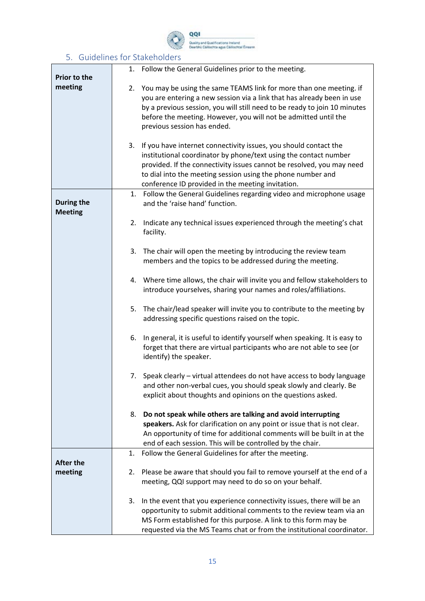

## 5. Guidelines for Stakeholders

<span id="page-14-0"></span>

| Prior to the                 | Follow the General Guidelines prior to the meeting.<br>1.                                                                                                                                                                                                                                                                               |
|------------------------------|-----------------------------------------------------------------------------------------------------------------------------------------------------------------------------------------------------------------------------------------------------------------------------------------------------------------------------------------|
| meeting                      | 2. You may be using the same TEAMS link for more than one meeting. if<br>you are entering a new session via a link that has already been in use<br>by a previous session, you will still need to be ready to join 10 minutes<br>before the meeting. However, you will not be admitted until the<br>previous session has ended.          |
|                              | If you have internet connectivity issues, you should contact the<br>3.<br>institutional coordinator by phone/text using the contact number<br>provided. If the connectivity issues cannot be resolved, you may need<br>to dial into the meeting session using the phone number and<br>conference ID provided in the meeting invitation. |
| During the<br><b>Meeting</b> | 1. Follow the General Guidelines regarding video and microphone usage<br>and the 'raise hand' function.                                                                                                                                                                                                                                 |
|                              | Indicate any technical issues experienced through the meeting's chat<br>2.<br>facility.                                                                                                                                                                                                                                                 |
|                              | 3. The chair will open the meeting by introducing the review team<br>members and the topics to be addressed during the meeting.                                                                                                                                                                                                         |
|                              | 4. Where time allows, the chair will invite you and fellow stakeholders to<br>introduce yourselves, sharing your names and roles/affiliations.                                                                                                                                                                                          |
|                              | 5. The chair/lead speaker will invite you to contribute to the meeting by<br>addressing specific questions raised on the topic.                                                                                                                                                                                                         |
|                              | In general, it is useful to identify yourself when speaking. It is easy to<br>6.<br>forget that there are virtual participants who are not able to see (or<br>identify) the speaker.                                                                                                                                                    |
|                              | 7. Speak clearly - virtual attendees do not have access to body language<br>and other non-verbal cues, you should speak slowly and clearly. Be<br>explicit about thoughts and opinions on the questions asked.                                                                                                                          |
|                              | Do not speak while others are talking and avoid interrupting<br>8.<br>speakers. Ask for clarification on any point or issue that is not clear.<br>An opportunity of time for additional comments will be built in at the<br>end of each session. This will be controlled by the chair.                                                  |
|                              | Follow the General Guidelines for after the meeting.<br>1.                                                                                                                                                                                                                                                                              |
| <b>After the</b><br>meeting  | Please be aware that should you fail to remove yourself at the end of a<br>2.<br>meeting, QQI support may need to do so on your behalf.                                                                                                                                                                                                 |
|                              |                                                                                                                                                                                                                                                                                                                                         |
|                              | In the event that you experience connectivity issues, there will be an<br>3.<br>opportunity to submit additional comments to the review team via an<br>MS Form established for this purpose. A link to this form may be<br>requested via the MS Teams chat or from the institutional coordinator.                                       |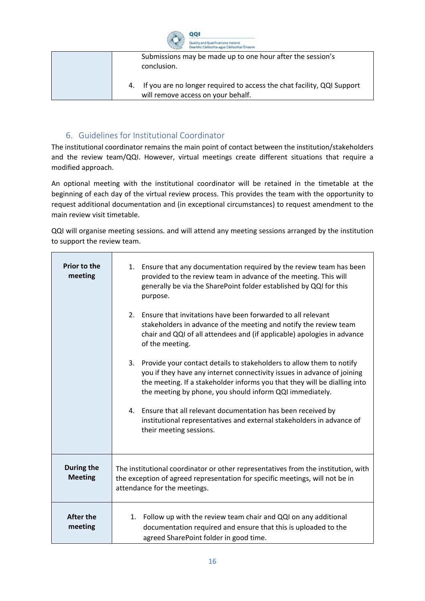

| Submissions may be made up to one hour after the session's<br>conclusion.                                       |
|-----------------------------------------------------------------------------------------------------------------|
| 4. If you are no longer required to access the chat facility, QQI Support<br>will remove access on your behalf. |

## 6. Guidelines for Institutional Coordinator

<span id="page-15-0"></span>The institutional coordinator remains the main point of contact between the institution/stakeholders and the review team/QQI. However, virtual meetings create different situations that require a modified approach.

An optional meeting with the institutional coordinator will be retained in the timetable at the beginning of each day of the virtual review process. This provides the team with the opportunity to request additional documentation and (in exceptional circumstances) to request amendment to the main review visit timetable.

QQI will organise meeting sessions. and will attend any meeting sessions arranged by the institution to support the review team.

| <b>Prior to the</b><br>meeting | 1. Ensure that any documentation required by the review team has been<br>provided to the review team in advance of the meeting. This will<br>generally be via the SharePoint folder established by QQI for this<br>purpose.<br>Ensure that invitations have been forwarded to all relevant<br>2 <sup>1</sup><br>stakeholders in advance of the meeting and notify the review team<br>chair and QQI of all attendees and (if applicable) apologies in advance<br>of the meeting.<br>3. Provide your contact details to stakeholders to allow them to notify<br>you if they have any internet connectivity issues in advance of joining<br>the meeting. If a stakeholder informs you that they will be dialling into<br>the meeting by phone, you should inform QQI immediately.<br>4. Ensure that all relevant documentation has been received by<br>institutional representatives and external stakeholders in advance of<br>their meeting sessions. |
|--------------------------------|------------------------------------------------------------------------------------------------------------------------------------------------------------------------------------------------------------------------------------------------------------------------------------------------------------------------------------------------------------------------------------------------------------------------------------------------------------------------------------------------------------------------------------------------------------------------------------------------------------------------------------------------------------------------------------------------------------------------------------------------------------------------------------------------------------------------------------------------------------------------------------------------------------------------------------------------------|
| During the<br><b>Meeting</b>   | The institutional coordinator or other representatives from the institution, with<br>the exception of agreed representation for specific meetings, will not be in<br>attendance for the meetings.                                                                                                                                                                                                                                                                                                                                                                                                                                                                                                                                                                                                                                                                                                                                                    |
| <b>After the</b><br>meeting    | 1. Follow up with the review team chair and QQI on any additional<br>documentation required and ensure that this is uploaded to the<br>agreed SharePoint folder in good time.                                                                                                                                                                                                                                                                                                                                                                                                                                                                                                                                                                                                                                                                                                                                                                        |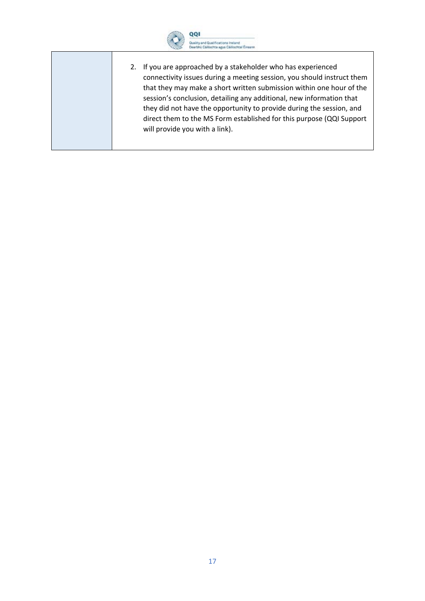

2. If you are approached by a stakeholder who has experienced connectivity issues during a meeting session, you should instruct them that they may make a short written submission within one hour of the session's conclusion, detailing any additional, new information that they did not have the opportunity to provide during the session, and direct them to the MS Form established for this purpose (QQI Support will provide you with a link).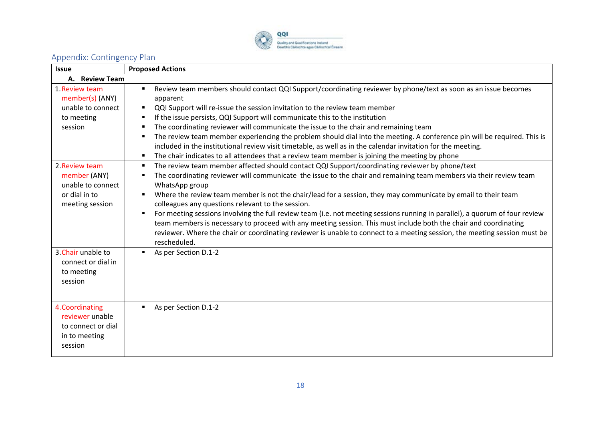

# Appendix: Contingency Plan

<span id="page-17-0"></span>

| <b>Issue</b>                                                                            | <b>Proposed Actions</b>                                                                                                                                                                                                                                                                                                                                                                                                                                                                                                                                                                                                                                                                                                                                                                                            |
|-----------------------------------------------------------------------------------------|--------------------------------------------------------------------------------------------------------------------------------------------------------------------------------------------------------------------------------------------------------------------------------------------------------------------------------------------------------------------------------------------------------------------------------------------------------------------------------------------------------------------------------------------------------------------------------------------------------------------------------------------------------------------------------------------------------------------------------------------------------------------------------------------------------------------|
| A. Review Team                                                                          |                                                                                                                                                                                                                                                                                                                                                                                                                                                                                                                                                                                                                                                                                                                                                                                                                    |
| 1. Review team<br>member(s) (ANY)<br>unable to connect<br>to meeting<br>session         | Review team members should contact QQI Support/coordinating reviewer by phone/text as soon as an issue becomes<br>apparent<br>QQI Support will re-issue the session invitation to the review team member<br>If the issue persists, QQI Support will communicate this to the institution<br>л<br>The coordinating reviewer will communicate the issue to the chair and remaining team<br>The review team member experiencing the problem should dial into the meeting. A conference pin will be required. This is<br>л<br>included in the institutional review visit timetable, as well as in the calendar invitation for the meeting.<br>The chair indicates to all attendees that a review team member is joining the meeting by phone<br>л                                                                       |
| 2. Review team<br>member (ANY)<br>unable to connect<br>or dial in to<br>meeting session | The review team member affected should contact QQI Support/coordinating reviewer by phone/text<br>х<br>The coordinating reviewer will communicate the issue to the chair and remaining team members via their review team<br>WhatsApp group<br>Where the review team member is not the chair/lead for a session, they may communicate by email to their team<br>colleagues any questions relevant to the session.<br>For meeting sessions involving the full review team (i.e. not meeting sessions running in parallel), a quorum of four review<br>team members is necessary to proceed with any meeting session. This must include both the chair and coordinating<br>reviewer. Where the chair or coordinating reviewer is unable to connect to a meeting session, the meeting session must be<br>rescheduled. |
| 3. Chair unable to<br>connect or dial in<br>to meeting<br>session                       | As per Section D.1-2                                                                                                                                                                                                                                                                                                                                                                                                                                                                                                                                                                                                                                                                                                                                                                                               |
| 4. Coordinating<br>reviewer unable<br>to connect or dial<br>in to meeting<br>session    | As per Section D.1-2                                                                                                                                                                                                                                                                                                                                                                                                                                                                                                                                                                                                                                                                                                                                                                                               |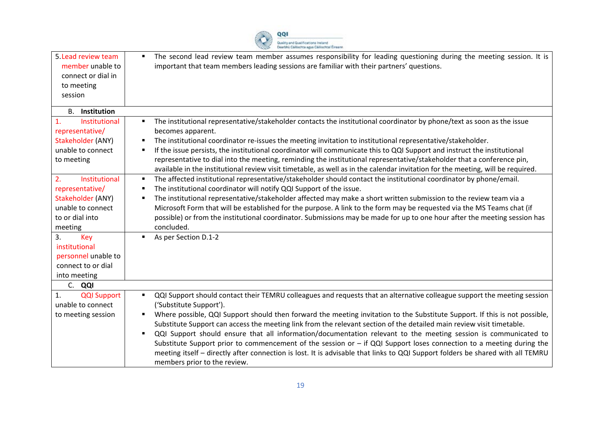

| 5. Lead review team<br>member unable to<br>connect or dial in<br>to meeting<br>session                                                                              | The second lead review team member assumes responsibility for leading questioning during the meeting session. It is<br>important that team members leading sessions are familiar with their partners' questions.                                                                                                                                                                                                                                                                                                                                                                                                                                                                                                                                                                                                                                              |
|---------------------------------------------------------------------------------------------------------------------------------------------------------------------|---------------------------------------------------------------------------------------------------------------------------------------------------------------------------------------------------------------------------------------------------------------------------------------------------------------------------------------------------------------------------------------------------------------------------------------------------------------------------------------------------------------------------------------------------------------------------------------------------------------------------------------------------------------------------------------------------------------------------------------------------------------------------------------------------------------------------------------------------------------|
| <b>B.</b> Institution                                                                                                                                               |                                                                                                                                                                                                                                                                                                                                                                                                                                                                                                                                                                                                                                                                                                                                                                                                                                                               |
| 1.<br>Institutional<br>representative/<br>Stakeholder (ANY)<br>unable to connect<br>to meeting                                                                      | The institutional representative/stakeholder contacts the institutional coordinator by phone/text as soon as the issue<br>$\blacksquare$<br>becomes apparent.<br>The institutional coordinator re-issues the meeting invitation to institutional representative/stakeholder.<br>If the issue persists, the institutional coordinator will communicate this to QQI Support and instruct the institutional<br>representative to dial into the meeting, reminding the institutional representative/stakeholder that a conference pin,<br>available in the institutional review visit timetable, as well as in the calendar invitation for the meeting, will be required.                                                                                                                                                                                         |
| Institutional<br>2.<br>representative/<br>Stakeholder (ANY)<br>unable to connect<br>to or dial into<br>meeting<br>Key<br>3.<br>institutional<br>personnel unable to | The affected institutional representative/stakeholder should contact the institutional coordinator by phone/email.<br>л<br>The institutional coordinator will notify QQI Support of the issue.<br>п<br>The institutional representative/stakeholder affected may make a short written submission to the review team via a<br>п<br>Microsoft Form that will be established for the purpose. A link to the form may be requested via the MS Teams chat (if<br>possible) or from the institutional coordinator. Submissions may be made for up to one hour after the meeting session has<br>concluded.<br>As per Section D.1-2                                                                                                                                                                                                                                   |
| connect to or dial                                                                                                                                                  |                                                                                                                                                                                                                                                                                                                                                                                                                                                                                                                                                                                                                                                                                                                                                                                                                                                               |
| into meeting<br>C. QQI                                                                                                                                              |                                                                                                                                                                                                                                                                                                                                                                                                                                                                                                                                                                                                                                                                                                                                                                                                                                                               |
| <b>QQI Support</b><br>1.<br>unable to connect<br>to meeting session                                                                                                 | QQI Support should contact their TEMRU colleagues and requests that an alternative colleague support the meeting session<br>$\blacksquare$<br>('Substitute Support').<br>Where possible, QQI Support should then forward the meeting invitation to the Substitute Support. If this is not possible,<br>Substitute Support can access the meeting link from the relevant section of the detailed main review visit timetable.<br>QQI Support should ensure that all information/documentation relevant to the meeting session is communicated to<br>$\blacksquare$<br>Substitute Support prior to commencement of the session or $-$ if QQI Support loses connection to a meeting during the<br>meeting itself - directly after connection is lost. It is advisable that links to QQI Support folders be shared with all TEMRU<br>members prior to the review. |